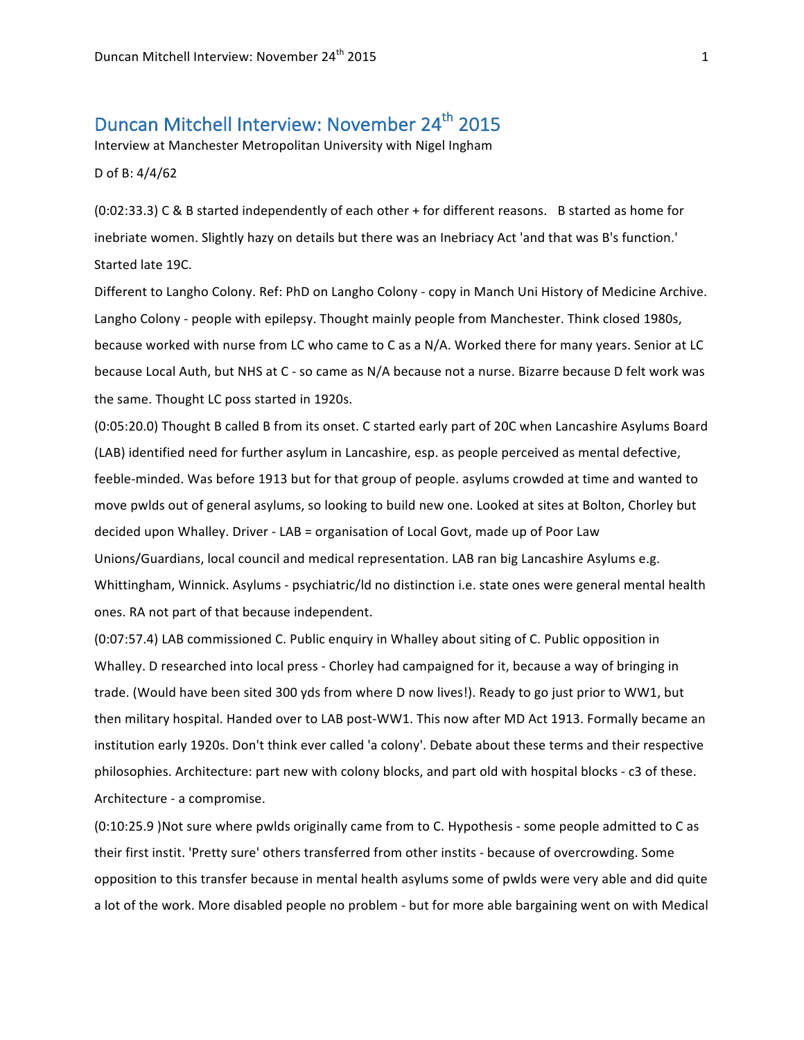# Duncan Mitchell Interview: November 24<sup>th</sup> 2015

Interview at Manchester Metropolitan University with Nigel Ingham

D of B: 4/4/62

(0:02:33.3) C & B started independently of each other + for different reasons. B started as home for inebriate women. Slightly hazy on details but there was an Inebriacy Act 'and that was B's function.' Started late 19C.

Different to Langho Colony. Ref: PhD on Langho Colony - copy in Manch Uni History of Medicine Archive. Langho Colony - people with epilepsy. Thought mainly people from Manchester. Think closed 1980s, because worked with nurse from LC who came to C as a N/A. Worked there for many years. Senior at LC because Local Auth, but NHS at C - so came as N/A because not a nurse. Bizarre because D felt work was the same. Thought LC poss started in 1920s.

(0:05:20.0) Thought B called B from its onset. C started early part of 20C when Lancashire Asylums Board (LAB) identified need for further asylum in Lancashire, esp. as people perceived as mental defective, feeble-minded. Was before 1913 but for that group of people. asylums crowded at time and wanted to move pwlds out of general asylums, so looking to build new one. Looked at sites at Bolton, Chorley but decided upon Whalley. Driver - LAB = organisation of Local Govt, made up of Poor Law Unions/Guardians, local council and medical representation. LAB ran big Lancashire Asylums e.g. Whittingham, Winnick. Asylums - psychiatric/ld no distinction i.e. state ones were general mental health ones. RA not part of that because independent.

(0:07:57.4) LAB commissioned C. Public enquiry in Whalley about siting of C. Public opposition in Whalley. D researched into local press - Chorley had campaigned for it, because a way of bringing in trade. (Would have been sited 300 yds from where D now lives!). Ready to go just prior to WW1, but then military hospital. Handed over to LAB post-WW1. This now after MD Act 1913. Formally became an institution early 1920s. Don't think ever called 'a colony'. Debate about these terms and their respective philosophies. Architecture: part new with colony blocks, and part old with hospital blocks - c3 of these. Architecture - a compromise.

(0:10:25.9 )Not sure where pwlds originally came from to C. Hypothesis - some people admitted to C as their first instit. 'Pretty sure' others transferred from other instits - because of overcrowding. Some opposition to this transfer because in mental health asylums some of pwlds were very able and did quite a lot of the work. More disabled people no problem - but for more able bargaining went on with Medical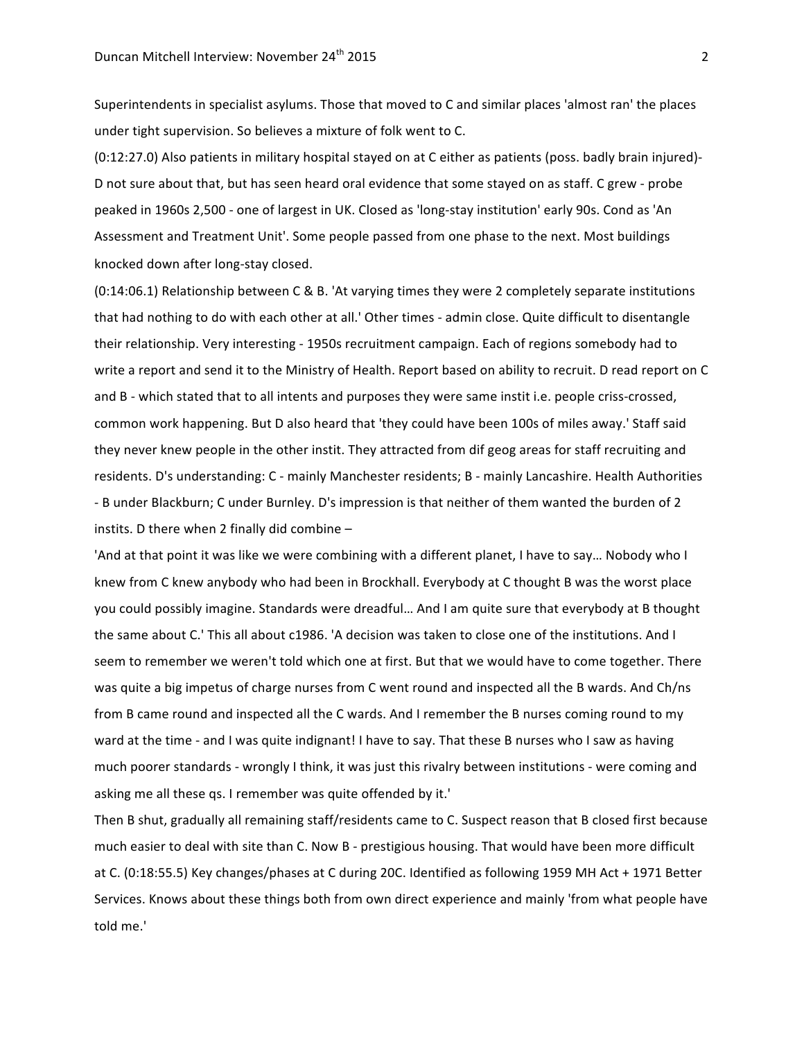Superintendents in specialist asylums. Those that moved to C and similar places 'almost ran' the places under tight supervision. So believes a mixture of folk went to C.

(0:12:27.0) Also patients in military hospital stayed on at C either as patients (poss. badly brain injured)-D not sure about that, but has seen heard oral evidence that some stayed on as staff. C grew - probe peaked in 1960s 2,500 - one of largest in UK. Closed as 'long-stay institution' early 90s. Cond as 'An Assessment and Treatment Unit'. Some people passed from one phase to the next. Most buildings knocked down after long-stay closed.

 $(0:14:06.1)$  Relationship between C & B. 'At varying times they were 2 completely separate institutions that had nothing to do with each other at all.' Other times - admin close. Quite difficult to disentangle their relationship. Very interesting - 1950s recruitment campaign. Each of regions somebody had to write a report and send it to the Ministry of Health. Report based on ability to recruit. D read report on C and B - which stated that to all intents and purposes they were same instit i.e. people criss-crossed, common work happening. But D also heard that 'they could have been 100s of miles away.' Staff said they never knew people in the other instit. They attracted from dif geog areas for staff recruiting and residents. D's understanding: C - mainly Manchester residents; B - mainly Lancashire. Health Authorities - B under Blackburn; C under Burnley. D's impression is that neither of them wanted the burden of 2 instits. D there when 2 finally did combine  $-$ 

'And at that point it was like we were combining with a different planet, I have to say... Nobody who I knew from C knew anybody who had been in Brockhall. Everybody at C thought B was the worst place you could possibly imagine. Standards were dreadful... And I am quite sure that everybody at B thought the same about C.' This all about c1986. 'A decision was taken to close one of the institutions. And I seem to remember we weren't told which one at first. But that we would have to come together. There was quite a big impetus of charge nurses from C went round and inspected all the B wards. And Ch/ns from B came round and inspected all the C wards. And I remember the B nurses coming round to my ward at the time - and I was quite indignant! I have to say. That these B nurses who I saw as having much poorer standards - wrongly I think, it was just this rivalry between institutions - were coming and asking me all these qs. I remember was quite offended by it.'

Then B shut, gradually all remaining staff/residents came to C. Suspect reason that B closed first because much easier to deal with site than C. Now B - prestigious housing. That would have been more difficult at C. (0:18:55.5) Key changes/phases at C during 20C. Identified as following 1959 MH Act + 1971 Better Services. Knows about these things both from own direct experience and mainly 'from what people have told me.'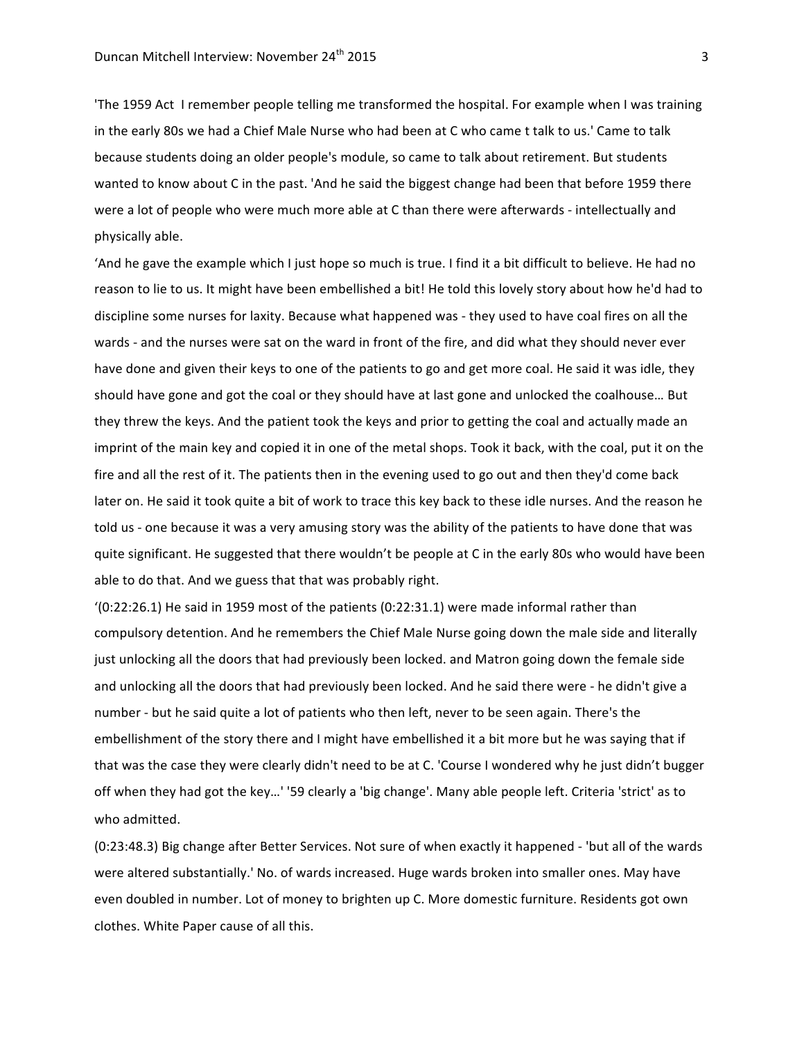'The 1959 Act I remember people telling me transformed the hospital. For example when I was training in the early 80s we had a Chief Male Nurse who had been at C who came t talk to us.' Came to talk because students doing an older people's module, so came to talk about retirement. But students wanted to know about C in the past. 'And he said the biggest change had been that before 1959 there were a lot of people who were much more able at C than there were afterwards - intellectually and physically able.

'And he gave the example which I just hope so much is true. I find it a bit difficult to believe. He had no reason to lie to us. It might have been embellished a bit! He told this lovely story about how he'd had to discipline some nurses for laxity. Because what happened was - they used to have coal fires on all the wards - and the nurses were sat on the ward in front of the fire, and did what they should never ever have done and given their keys to one of the patients to go and get more coal. He said it was idle, they should have gone and got the coal or they should have at last gone and unlocked the coalhouse... But they threw the keys. And the patient took the keys and prior to getting the coal and actually made an imprint of the main key and copied it in one of the metal shops. Took it back, with the coal, put it on the fire and all the rest of it. The patients then in the evening used to go out and then they'd come back later on. He said it took quite a bit of work to trace this key back to these idle nurses. And the reason he told us - one because it was a very amusing story was the ability of the patients to have done that was quite significant. He suggested that there wouldn't be people at C in the early 80s who would have been able to do that. And we guess that that was probably right.

 $(0.22.26.1)$  He said in 1959 most of the patients  $(0.22.31.1)$  were made informal rather than compulsory detention. And he remembers the Chief Male Nurse going down the male side and literally just unlocking all the doors that had previously been locked. and Matron going down the female side and unlocking all the doors that had previously been locked. And he said there were - he didn't give a number - but he said quite a lot of patients who then left, never to be seen again. There's the embellishment of the story there and I might have embellished it a bit more but he was saying that if that was the case they were clearly didn't need to be at C. 'Course I wondered why he just didn't bugger off when they had got the key...' '59 clearly a 'big change'. Many able people left. Criteria 'strict' as to who admitted.

(0:23:48.3) Big change after Better Services. Not sure of when exactly it happened - 'but all of the wards were altered substantially.' No. of wards increased. Huge wards broken into smaller ones. May have even doubled in number. Lot of money to brighten up C. More domestic furniture. Residents got own clothes. White Paper cause of all this.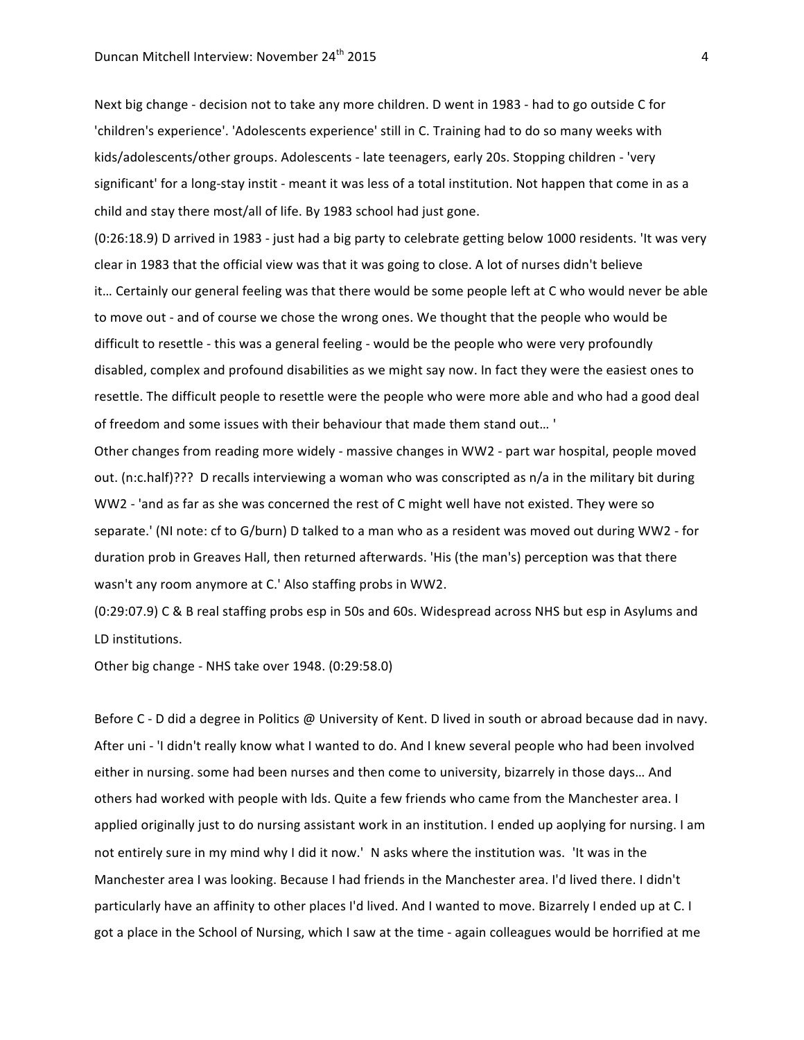Next big change - decision not to take any more children. D went in 1983 - had to go outside C for 'children's experience'. 'Adolescents experience' still in C. Training had to do so many weeks with kids/adolescents/other groups. Adolescents - late teenagers, early 20s. Stopping children - 'very significant' for a long-stay instit - meant it was less of a total institution. Not happen that come in as a child and stay there most/all of life. By 1983 school had just gone.

(0:26:18.9) D arrived in 1983 - just had a big party to celebrate getting below 1000 residents. 'It was very clear in 1983 that the official view was that it was going to close. A lot of nurses didn't believe it... Certainly our general feeling was that there would be some people left at C who would never be able to move out - and of course we chose the wrong ones. We thought that the people who would be difficult to resettle - this was a general feeling - would be the people who were very profoundly disabled, complex and profound disabilities as we might say now. In fact they were the easiest ones to resettle. The difficult people to resettle were the people who were more able and who had a good deal of freedom and some issues with their behaviour that made them stand out... '

Other changes from reading more widely - massive changes in WW2 - part war hospital, people moved out. (n:c.half)??? D recalls interviewing a woman who was conscripted as n/a in the military bit during WW2 - 'and as far as she was concerned the rest of C might well have not existed. They were so separate.' (NI note: cf to G/burn) D talked to a man who as a resident was moved out during WW2 - for duration prob in Greaves Hall, then returned afterwards. 'His (the man's) perception was that there wasn't any room anymore at C.' Also staffing probs in WW2.

(0:29:07.9) C & B real staffing probs esp in 50s and 60s. Widespread across NHS but esp in Asylums and LD institutions.

Other big change - NHS take over 1948. (0:29:58.0)

Before C - D did a degree in Politics @ University of Kent. D lived in south or abroad because dad in navy. After uni - 'I didn't really know what I wanted to do. And I knew several people who had been involved either in nursing. some had been nurses and then come to university, bizarrely in those days... And others had worked with people with lds. Quite a few friends who came from the Manchester area. I applied originally just to do nursing assistant work in an institution. I ended up aoplying for nursing. I am not entirely sure in my mind why I did it now.' N asks where the institution was. 'It was in the Manchester area I was looking. Because I had friends in the Manchester area. I'd lived there. I didn't particularly have an affinity to other places I'd lived. And I wanted to move. Bizarrely I ended up at C. I got a place in the School of Nursing, which I saw at the time - again colleagues would be horrified at me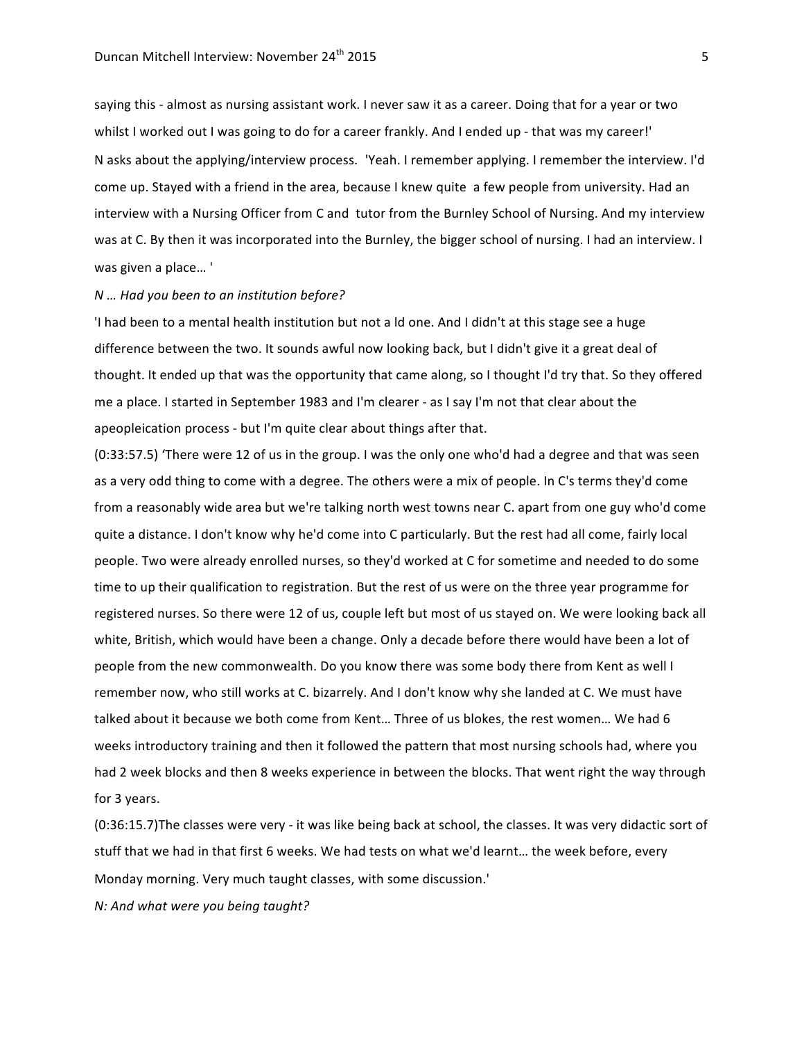saying this - almost as nursing assistant work. I never saw it as a career. Doing that for a year or two whilst I worked out I was going to do for a career frankly. And I ended up - that was my career!' N asks about the applying/interview process. 'Yeah. I remember applying. I remember the interview. I'd come up. Stayed with a friend in the area, because I knew quite a few people from university. Had an interview with a Nursing Officer from C and tutor from the Burnley School of Nursing. And my interview was at C. By then it was incorporated into the Burnley, the bigger school of nursing. I had an interview. I was given a place...'

## *N … Had you been to an institution before?*

If had been to a mental health institution but not a ld one. And I didn't at this stage see a huge difference between the two. It sounds awful now looking back, but I didn't give it a great deal of thought. It ended up that was the opportunity that came along, so I thought I'd try that. So they offered me a place. I started in September 1983 and I'm clearer - as I say I'm not that clear about the apeopleication process - but I'm quite clear about things after that.

(0:33:57.5) 'There were 12 of us in the group. I was the only one who'd had a degree and that was seen as a very odd thing to come with a degree. The others were a mix of people. In C's terms they'd come from a reasonably wide area but we're talking north west towns near C. apart from one guy who'd come quite a distance. I don't know why he'd come into C particularly. But the rest had all come, fairly local people. Two were already enrolled nurses, so they'd worked at C for sometime and needed to do some time to up their qualification to registration. But the rest of us were on the three year programme for registered nurses. So there were 12 of us, couple left but most of us stayed on. We were looking back all white, British, which would have been a change. Only a decade before there would have been a lot of people from the new commonwealth. Do you know there was some body there from Kent as well I remember now, who still works at C. bizarrely. And I don't know why she landed at C. We must have talked about it because we both come from Kent... Three of us blokes, the rest women... We had 6 weeks introductory training and then it followed the pattern that most nursing schools had, where you had 2 week blocks and then 8 weeks experience in between the blocks. That went right the way through for 3 years.

 $(0:36:15.7)$ The classes were very - it was like being back at school, the classes. It was very didactic sort of stuff that we had in that first 6 weeks. We had tests on what we'd learnt... the week before, every Monday morning. Very much taught classes, with some discussion.'

*N: And what were you being taught?*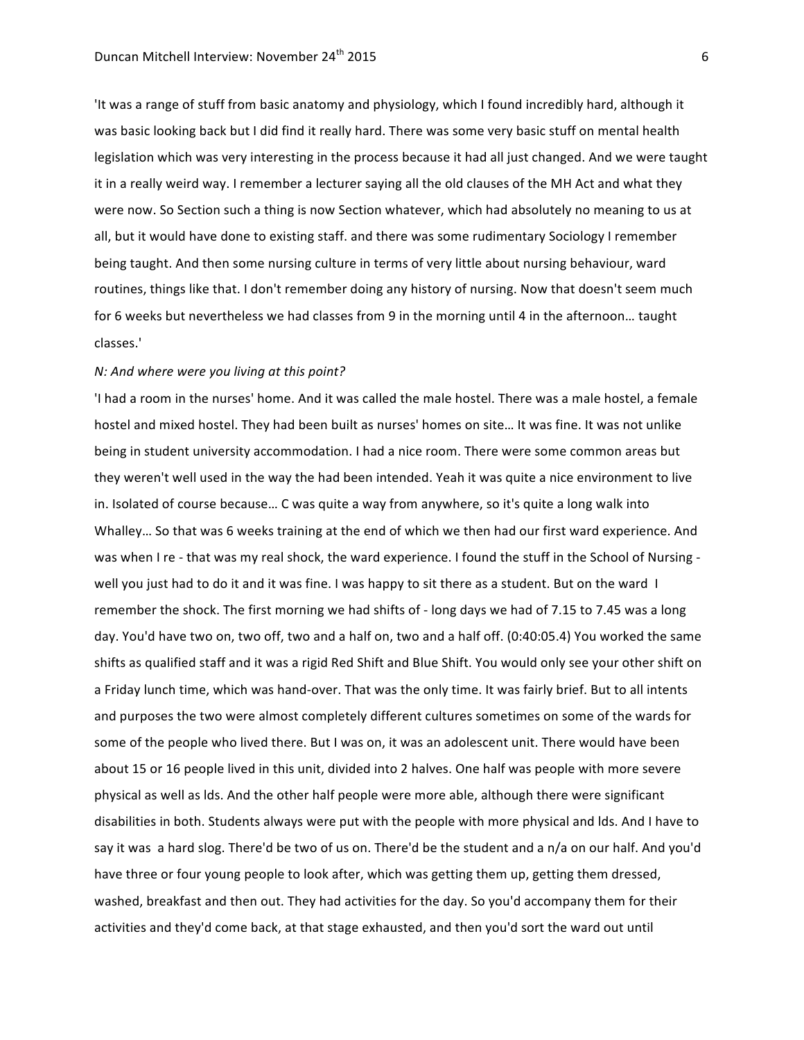'It was a range of stuff from basic anatomy and physiology, which I found incredibly hard, although it was basic looking back but I did find it really hard. There was some very basic stuff on mental health legislation which was very interesting in the process because it had all just changed. And we were taught it in a really weird way. I remember a lecturer saying all the old clauses of the MH Act and what they were now. So Section such a thing is now Section whatever, which had absolutely no meaning to us at all, but it would have done to existing staff. and there was some rudimentary Sociology I remember being taught. And then some nursing culture in terms of very little about nursing behaviour, ward routines, things like that. I don't remember doing any history of nursing. Now that doesn't seem much for 6 weeks but nevertheless we had classes from 9 in the morning until 4 in the afternoon... taught classes.'

#### *N:* And where were you living at this point?

'I had a room in the nurses' home. And it was called the male hostel. There was a male hostel, a female hostel and mixed hostel. They had been built as nurses' homes on site... It was fine. It was not unlike being in student university accommodation. I had a nice room. There were some common areas but they weren't well used in the way the had been intended. Yeah it was quite a nice environment to live in. Isolated of course because... C was quite a way from anywhere, so it's quite a long walk into Whalley... So that was 6 weeks training at the end of which we then had our first ward experience. And was when I re - that was my real shock, the ward experience. I found the stuff in the School of Nursing well you just had to do it and it was fine. I was happy to sit there as a student. But on the ward I remember the shock. The first morning we had shifts of - long days we had of 7.15 to 7.45 was a long day. You'd have two on, two off, two and a half on, two and a half off. (0:40:05.4) You worked the same shifts as qualified staff and it was a rigid Red Shift and Blue Shift. You would only see your other shift on a Friday lunch time, which was hand-over. That was the only time. It was fairly brief. But to all intents and purposes the two were almost completely different cultures sometimes on some of the wards for some of the people who lived there. But I was on, it was an adolescent unit. There would have been about 15 or 16 people lived in this unit, divided into 2 halves. One half was people with more severe physical as well as lds. And the other half people were more able, although there were significant disabilities in both. Students always were put with the people with more physical and lds. And I have to say it was a hard slog. There'd be two of us on. There'd be the student and a n/a on our half. And you'd have three or four young people to look after, which was getting them up, getting them dressed, washed, breakfast and then out. They had activities for the day. So you'd accompany them for their activities and they'd come back, at that stage exhausted, and then you'd sort the ward out until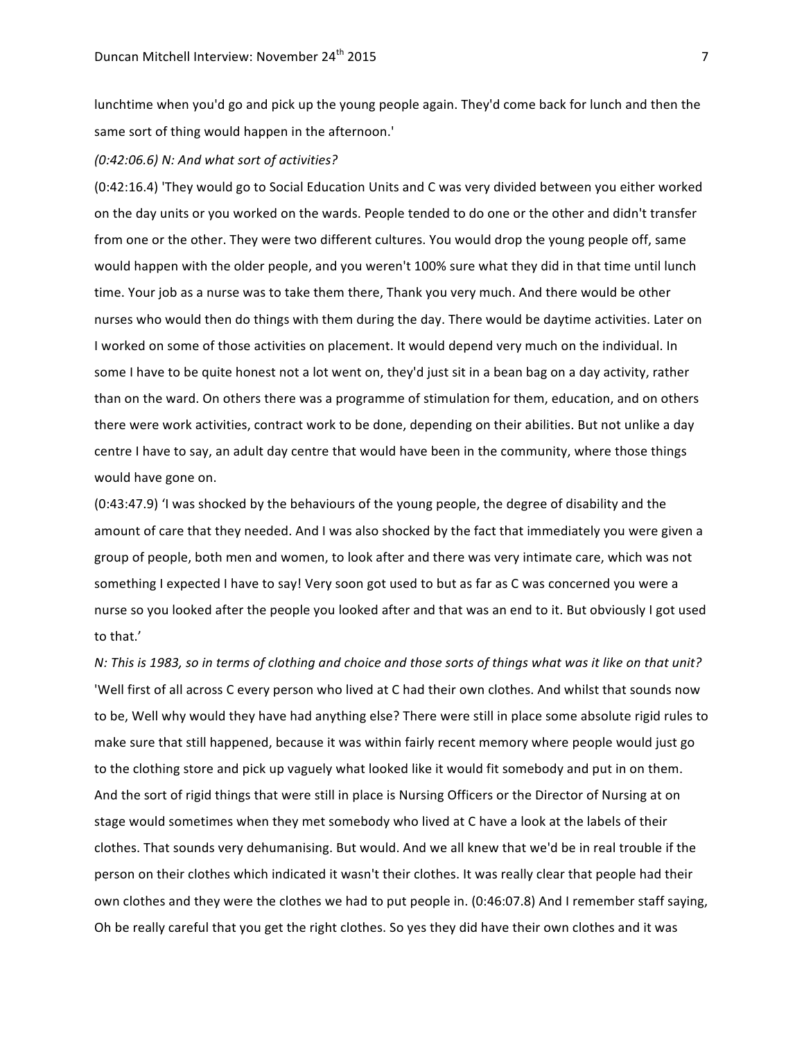lunchtime when you'd go and pick up the young people again. They'd come back for lunch and then the same sort of thing would happen in the afternoon.'

### *(0:42:06.6) N: And what sort of activities?*

(0:42:16.4) 'They would go to Social Education Units and C was very divided between you either worked on the day units or you worked on the wards. People tended to do one or the other and didn't transfer from one or the other. They were two different cultures. You would drop the young people off, same would happen with the older people, and you weren't 100% sure what they did in that time until lunch time. Your job as a nurse was to take them there, Thank you very much. And there would be other nurses who would then do things with them during the day. There would be daytime activities. Later on I worked on some of those activities on placement. It would depend very much on the individual. In some I have to be quite honest not a lot went on, they'd just sit in a bean bag on a day activity, rather than on the ward. On others there was a programme of stimulation for them, education, and on others there were work activities, contract work to be done, depending on their abilities. But not unlike a day centre I have to say, an adult day centre that would have been in the community, where those things would have gone on.

(0:43:47.9) 'I was shocked by the behaviours of the young people, the degree of disability and the amount of care that they needed. And I was also shocked by the fact that immediately you were given a group of people, both men and women, to look after and there was very intimate care, which was not something I expected I have to say! Very soon got used to but as far as C was concerned you were a nurse so you looked after the people you looked after and that was an end to it. But obviously I got used to that.'

*N:* This is 1983, so in terms of clothing and choice and those sorts of things what was it like on that unit? 'Well first of all across C every person who lived at C had their own clothes. And whilst that sounds now to be, Well why would they have had anything else? There were still in place some absolute rigid rules to make sure that still happened, because it was within fairly recent memory where people would just go to the clothing store and pick up vaguely what looked like it would fit somebody and put in on them. And the sort of rigid things that were still in place is Nursing Officers or the Director of Nursing at on stage would sometimes when they met somebody who lived at C have a look at the labels of their clothes. That sounds very dehumanising. But would. And we all knew that we'd be in real trouble if the person on their clothes which indicated it wasn't their clothes. It was really clear that people had their own clothes and they were the clothes we had to put people in. (0:46:07.8) And I remember staff saying, Oh be really careful that you get the right clothes. So yes they did have their own clothes and it was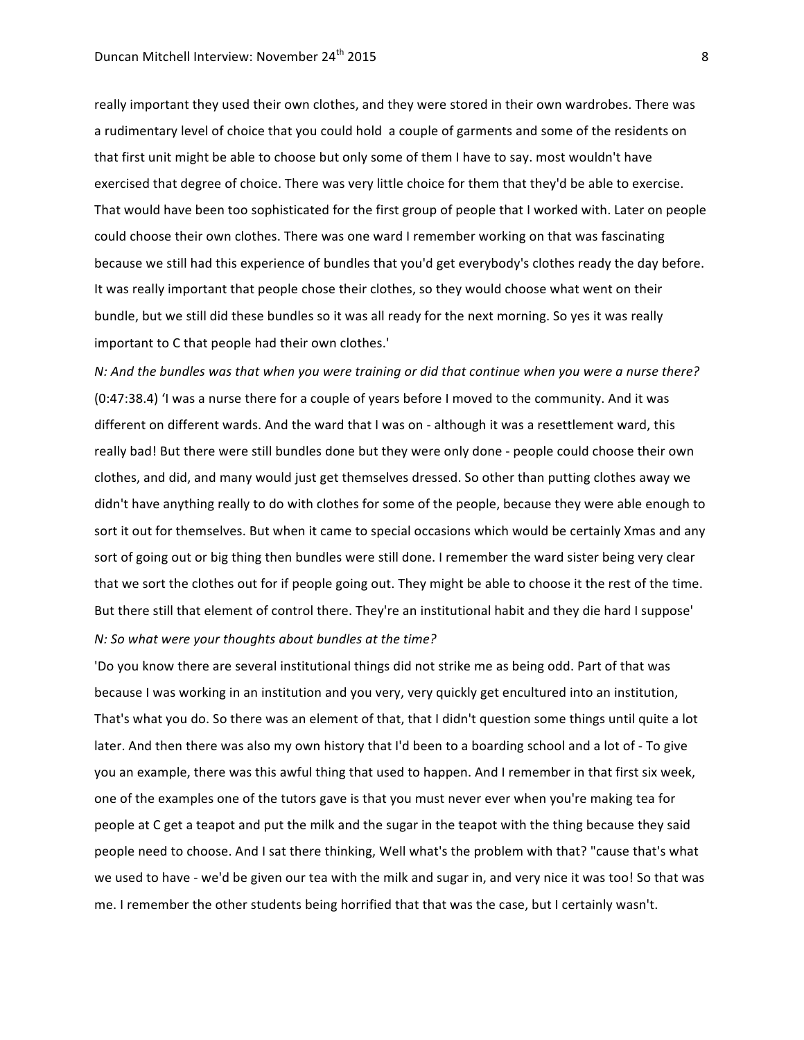really important they used their own clothes, and they were stored in their own wardrobes. There was a rudimentary level of choice that you could hold a couple of garments and some of the residents on that first unit might be able to choose but only some of them I have to say. most wouldn't have exercised that degree of choice. There was very little choice for them that they'd be able to exercise. That would have been too sophisticated for the first group of people that I worked with. Later on people could choose their own clothes. There was one ward I remember working on that was fascinating because we still had this experience of bundles that you'd get everybody's clothes ready the day before. It was really important that people chose their clothes, so they would choose what went on their bundle, but we still did these bundles so it was all ready for the next morning. So yes it was really important to C that people had their own clothes.'

*N:* And the bundles was that when you were training or did that continue when you were a nurse there?  $(0:47:38.4)$  'I was a nurse there for a couple of years before I moved to the community. And it was different on different wards. And the ward that I was on - although it was a resettlement ward, this really bad! But there were still bundles done but they were only done - people could choose their own clothes, and did, and many would just get themselves dressed. So other than putting clothes away we didn't have anything really to do with clothes for some of the people, because they were able enough to sort it out for themselves. But when it came to special occasions which would be certainly Xmas and any sort of going out or big thing then bundles were still done. I remember the ward sister being very clear that we sort the clothes out for if people going out. They might be able to choose it the rest of the time. But there still that element of control there. They're an institutional habit and they die hard I suppose' *N:* So what were your thoughts about bundles at the time?

'Do you know there are several institutional things did not strike me as being odd. Part of that was because I was working in an institution and you very, very quickly get encultured into an institution, That's what you do. So there was an element of that, that I didn't question some things until quite a lot later. And then there was also my own history that I'd been to a boarding school and a lot of - To give you an example, there was this awful thing that used to happen. And I remember in that first six week, one of the examples one of the tutors gave is that you must never ever when you're making tea for people at C get a teapot and put the milk and the sugar in the teapot with the thing because they said people need to choose. And I sat there thinking, Well what's the problem with that? "cause that's what we used to have - we'd be given our tea with the milk and sugar in, and very nice it was too! So that was me. I remember the other students being horrified that that was the case, but I certainly wasn't.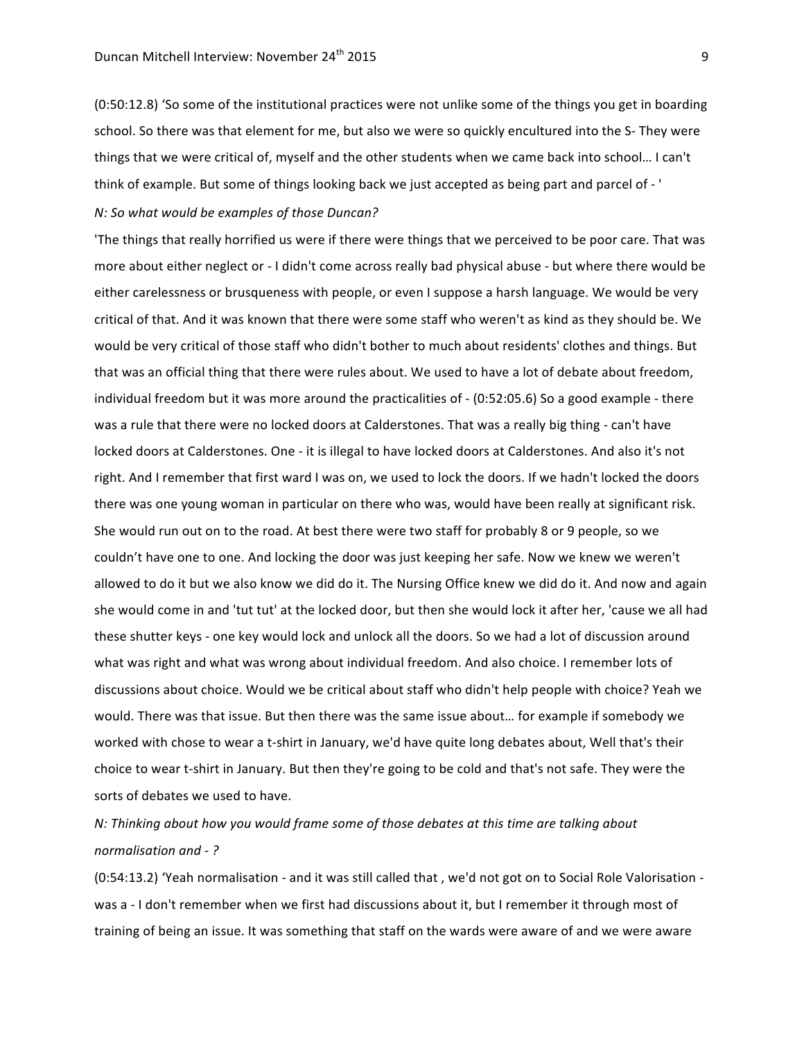(0:50:12.8) 'So some of the institutional practices were not unlike some of the things you get in boarding school. So there was that element for me, but also we were so quickly encultured into the S- They were things that we were critical of, myself and the other students when we came back into school... I can't think of example. But some of things looking back we just accepted as being part and parcel of - '

## *N:* So what would be examples of those Duncan?

'The things that really horrified us were if there were things that we perceived to be poor care. That was more about either neglect or - I didn't come across really bad physical abuse - but where there would be either carelessness or brusqueness with people, or even I suppose a harsh language. We would be very critical of that. And it was known that there were some staff who weren't as kind as they should be. We would be very critical of those staff who didn't bother to much about residents' clothes and things. But that was an official thing that there were rules about. We used to have a lot of debate about freedom, individual freedom but it was more around the practicalities of  $-$  (0:52:05.6) So a good example  $-$  there was a rule that there were no locked doors at Calderstones. That was a really big thing - can't have locked doors at Calderstones. One - it is illegal to have locked doors at Calderstones. And also it's not right. And I remember that first ward I was on, we used to lock the doors. If we hadn't locked the doors there was one young woman in particular on there who was, would have been really at significant risk. She would run out on to the road. At best there were two staff for probably 8 or 9 people, so we couldn't have one to one. And locking the door was just keeping her safe. Now we knew we weren't allowed to do it but we also know we did do it. The Nursing Office knew we did do it. And now and again she would come in and 'tut tut' at the locked door, but then she would lock it after her, 'cause we all had these shutter keys - one key would lock and unlock all the doors. So we had a lot of discussion around what was right and what was wrong about individual freedom. And also choice. I remember lots of discussions about choice. Would we be critical about staff who didn't help people with choice? Yeah we would. There was that issue. But then there was the same issue about... for example if somebody we worked with chose to wear a t-shirt in January, we'd have quite long debates about, Well that's their choice to wear t-shirt in January. But then they're going to be cold and that's not safe. They were the sorts of debates we used to have.

## *N:* Thinking about how you would frame some of those debates at this time are talking about *normalisation and - ?*

(0:54:13.2) 'Yeah normalisation - and it was still called that, we'd not got on to Social Role Valorisation was a - I don't remember when we first had discussions about it, but I remember it through most of training of being an issue. It was something that staff on the wards were aware of and we were aware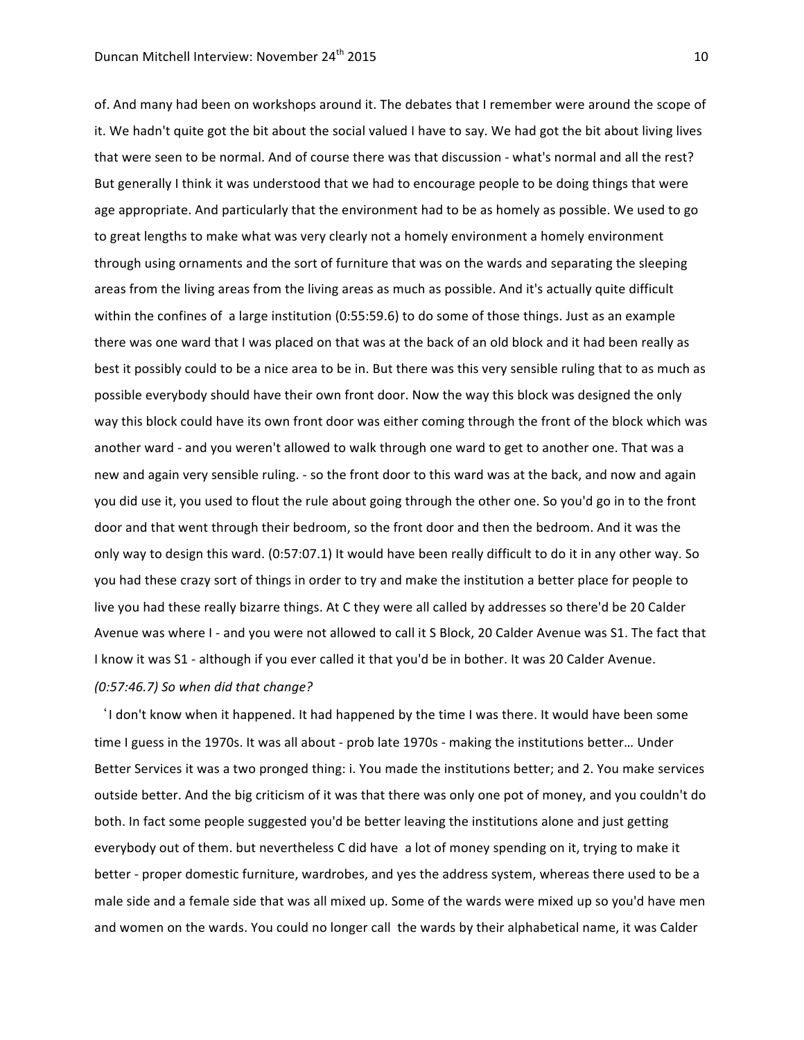of. And many had been on workshops around it. The debates that I remember were around the scope of it. We hadn't quite got the bit about the social valued I have to say. We had got the bit about living lives that were seen to be normal. And of course there was that discussion - what's normal and all the rest? But generally I think it was understood that we had to encourage people to be doing things that were age appropriate. And particularly that the environment had to be as homely as possible. We used to go to great lengths to make what was very clearly not a homely environment a homely environment through using ornaments and the sort of furniture that was on the wards and separating the sleeping areas from the living areas from the living areas as much as possible. And it's actually quite difficult within the confines of a large institution  $(0:55:59.6)$  to do some of those things. Just as an example there was one ward that I was placed on that was at the back of an old block and it had been really as best it possibly could to be a nice area to be in. But there was this very sensible ruling that to as much as possible everybody should have their own front door. Now the way this block was designed the only way this block could have its own front door was either coming through the front of the block which was another ward - and you weren't allowed to walk through one ward to get to another one. That was a new and again very sensible ruling. - so the front door to this ward was at the back, and now and again you did use it, you used to flout the rule about going through the other one. So you'd go in to the front door and that went through their bedroom, so the front door and then the bedroom. And it was the only way to design this ward. (0:57:07.1) It would have been really difficult to do it in any other way. So you had these crazy sort of things in order to try and make the institution a better place for people to live you had these really bizarre things. At C they were all called by addresses so there'd be 20 Calder Avenue was where I - and you were not allowed to call it S Block, 20 Calder Avenue was S1. The fact that I know it was S1 - although if you ever called it that you'd be in bother. It was 20 Calder Avenue. *(0:57:46.7) So when did that change?*

I don't know when it happened. It had happened by the time I was there. It would have been some time I guess in the 1970s. It was all about - prob late 1970s - making the institutions better... Under Better Services it was a two pronged thing: i. You made the institutions better; and 2. You make services outside better. And the big criticism of it was that there was only one pot of money, and you couldn't do both. In fact some people suggested you'd be better leaving the institutions alone and just getting everybody out of them. but nevertheless C did have a lot of money spending on it, trying to make it better - proper domestic furniture, wardrobes, and yes the address system, whereas there used to be a male side and a female side that was all mixed up. Some of the wards were mixed up so you'd have men and women on the wards. You could no longer call the wards by their alphabetical name, it was Calder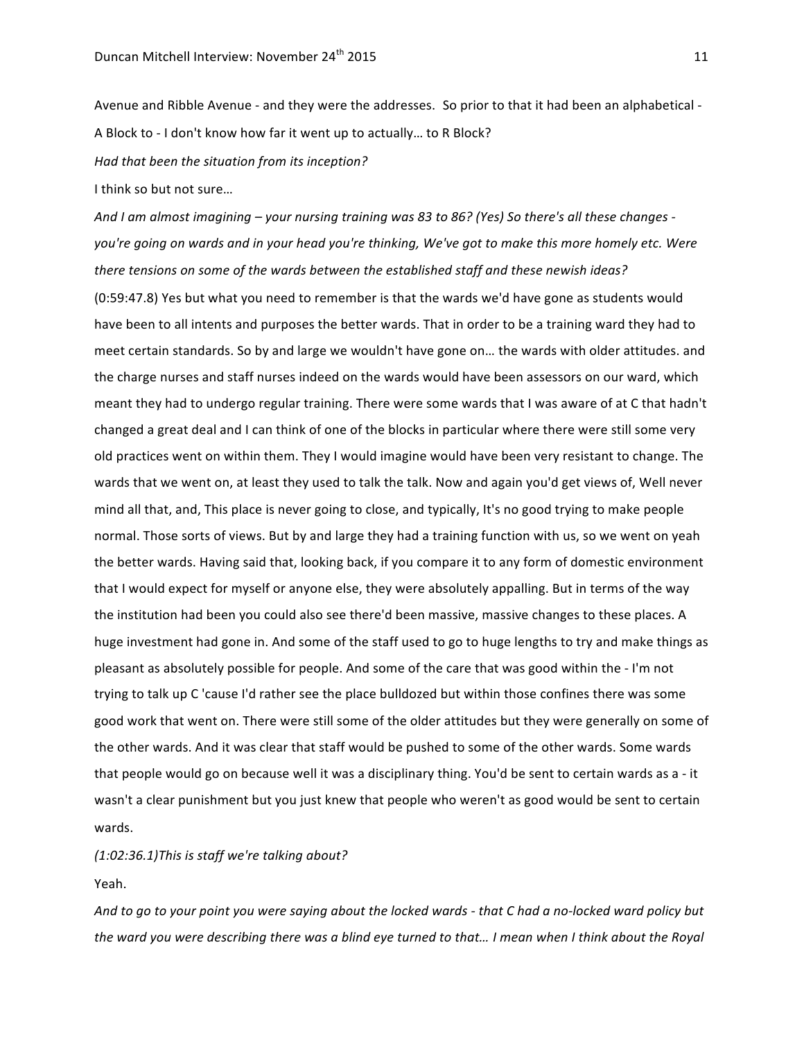Avenue and Ribble Avenue - and they were the addresses. So prior to that it had been an alphabetical -A Block to - I don't know how far it went up to actually... to R Block? Had that been the situation from its inception?

I think so but not sure...

And I am almost imagining – your nursing training was 83 to 86? (Yes) So there's all these changes you're going on wards and in your head you're thinking, We've got to make this more homely etc. Were there tensions on some of the wards between the established staff and these newish ideas? (0:59:47.8) Yes but what you need to remember is that the wards we'd have gone as students would have been to all intents and purposes the better wards. That in order to be a training ward they had to meet certain standards. So by and large we wouldn't have gone on... the wards with older attitudes. and the charge nurses and staff nurses indeed on the wards would have been assessors on our ward, which meant they had to undergo regular training. There were some wards that I was aware of at C that hadn't changed a great deal and I can think of one of the blocks in particular where there were still some very old practices went on within them. They I would imagine would have been very resistant to change. The wards that we went on, at least they used to talk the talk. Now and again you'd get views of, Well never mind all that, and, This place is never going to close, and typically, It's no good trying to make people normal. Those sorts of views. But by and large they had a training function with us, so we went on yeah the better wards. Having said that, looking back, if you compare it to any form of domestic environment that I would expect for myself or anyone else, they were absolutely appalling. But in terms of the way the institution had been you could also see there'd been massive, massive changes to these places. A huge investment had gone in. And some of the staff used to go to huge lengths to try and make things as pleasant as absolutely possible for people. And some of the care that was good within the - I'm not trying to talk up C 'cause I'd rather see the place bulldozed but within those confines there was some good work that went on. There were still some of the older attitudes but they were generally on some of the other wards. And it was clear that staff would be pushed to some of the other wards. Some wards that people would go on because well it was a disciplinary thing. You'd be sent to certain wards as a - it wasn't a clear punishment but you just knew that people who weren't as good would be sent to certain wards.

*(1:02:36.1)This is staff we're talking about?*

Yeah. 

And to go to your point you were saying about the locked wards - that C had a no-locked ward policy but the ward you were describing there was a blind eye turned to that... *I* mean when I think about the Royal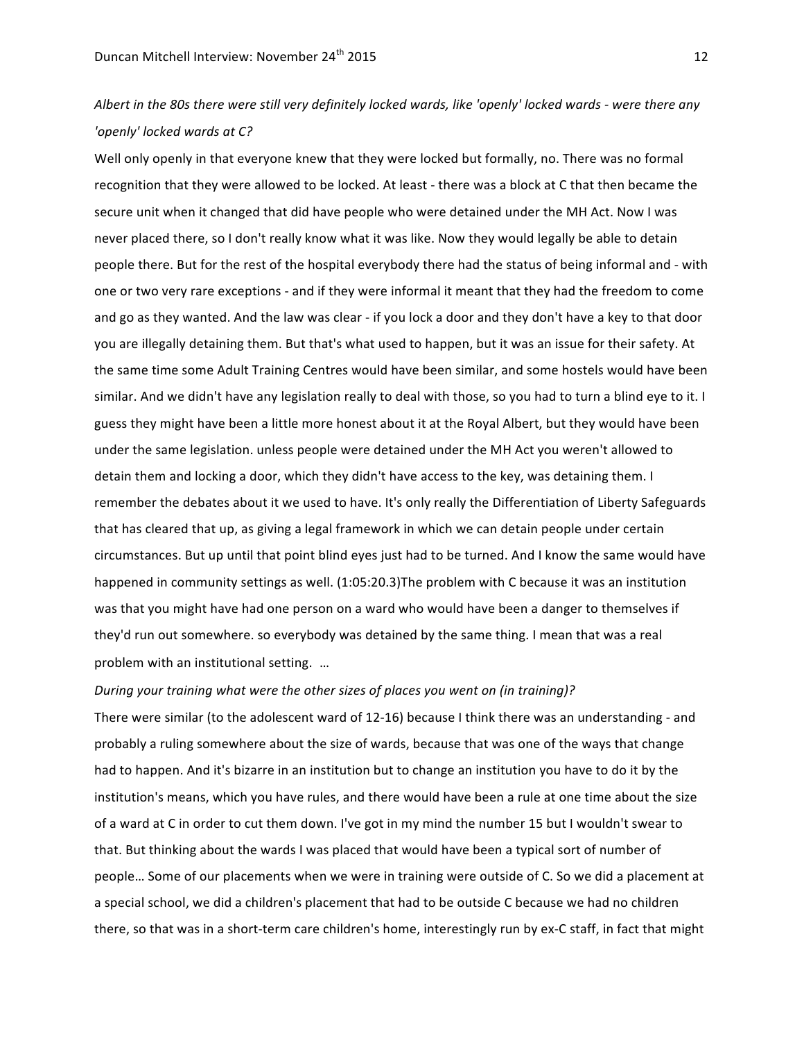## Albert in the 80s there were still very definitely locked wards, like 'openly' locked wards - were there any *'openly' locked wards at C?*

Well only openly in that everyone knew that they were locked but formally, no. There was no formal recognition that they were allowed to be locked. At least - there was a block at C that then became the secure unit when it changed that did have people who were detained under the MH Act. Now I was never placed there, so I don't really know what it was like. Now they would legally be able to detain people there. But for the rest of the hospital everybody there had the status of being informal and - with one or two very rare exceptions - and if they were informal it meant that they had the freedom to come and go as they wanted. And the law was clear - if you lock a door and they don't have a key to that door you are illegally detaining them. But that's what used to happen, but it was an issue for their safety. At the same time some Adult Training Centres would have been similar, and some hostels would have been similar. And we didn't have any legislation really to deal with those, so you had to turn a blind eye to it. I guess they might have been a little more honest about it at the Royal Albert, but they would have been under the same legislation. unless people were detained under the MH Act you weren't allowed to detain them and locking a door, which they didn't have access to the key, was detaining them. I remember the debates about it we used to have. It's only really the Differentiation of Liberty Safeguards that has cleared that up, as giving a legal framework in which we can detain people under certain circumstances. But up until that point blind eyes just had to be turned. And I know the same would have happened in community settings as well. (1:05:20.3)The problem with C because it was an institution was that you might have had one person on a ward who would have been a danger to themselves if they'd run out somewhere. so everybody was detained by the same thing. I mean that was a real problem with an institutional setting. ...

#### *During your training what were the other sizes of places you went on (in training)?*

There were similar (to the adolescent ward of 12-16) because I think there was an understanding - and probably a ruling somewhere about the size of wards, because that was one of the ways that change had to happen. And it's bizarre in an institution but to change an institution you have to do it by the institution's means, which you have rules, and there would have been a rule at one time about the size of a ward at C in order to cut them down. I've got in my mind the number 15 but I wouldn't swear to that. But thinking about the wards I was placed that would have been a typical sort of number of people... Some of our placements when we were in training were outside of C. So we did a placement at a special school, we did a children's placement that had to be outside C because we had no children there, so that was in a short-term care children's home, interestingly run by ex-C staff, in fact that might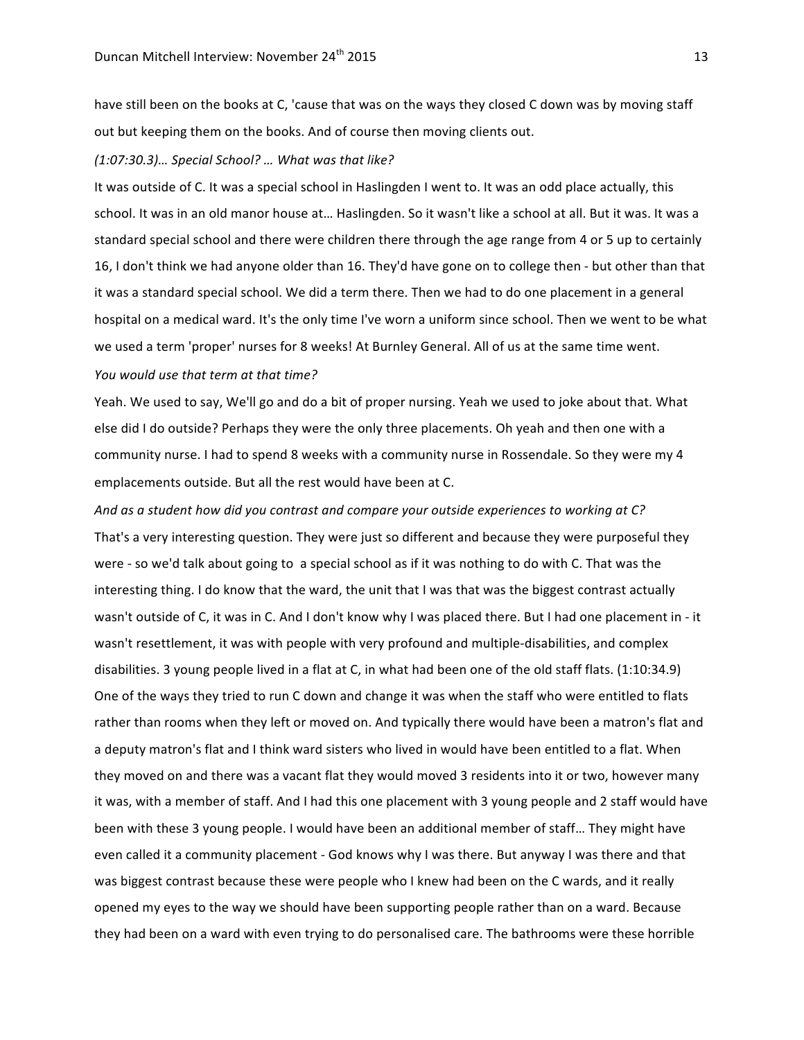have still been on the books at C, 'cause that was on the ways they closed C down was by moving staff out but keeping them on the books. And of course then moving clients out.

## *(1:07:30.3)… Special School? … What was that like?*

It was outside of C. It was a special school in Haslingden I went to. It was an odd place actually, this school. It was in an old manor house at... Haslingden. So it wasn't like a school at all. But it was. It was a standard special school and there were children there through the age range from 4 or 5 up to certainly 16, I don't think we had anyone older than 16. They'd have gone on to college then - but other than that it was a standard special school. We did a term there. Then we had to do one placement in a general hospital on a medical ward. It's the only time I've worn a uniform since school. Then we went to be what we used a term 'proper' nurses for 8 weeks! At Burnley General. All of us at the same time went. *You would use that term at that time?* 

Yeah. We used to say, We'll go and do a bit of proper nursing. Yeah we used to joke about that. What else did I do outside? Perhaps they were the only three placements. Oh yeah and then one with a community nurse. I had to spend 8 weeks with a community nurse in Rossendale. So they were my 4 emplacements outside. But all the rest would have been at C.

And as a student how did you contrast and compare your outside experiences to working at C? That's a very interesting question. They were just so different and because they were purposeful they were - so we'd talk about going to a special school as if it was nothing to do with C. That was the interesting thing. I do know that the ward, the unit that I was that was the biggest contrast actually wasn't outside of C, it was in C. And I don't know why I was placed there. But I had one placement in - it wasn't resettlement, it was with people with very profound and multiple-disabilities, and complex disabilities. 3 young people lived in a flat at C, in what had been one of the old staff flats. (1:10:34.9) One of the ways they tried to run C down and change it was when the staff who were entitled to flats rather than rooms when they left or moved on. And typically there would have been a matron's flat and a deputy matron's flat and I think ward sisters who lived in would have been entitled to a flat. When they moved on and there was a vacant flat they would moved 3 residents into it or two, however many it was, with a member of staff. And I had this one placement with 3 young people and 2 staff would have been with these 3 young people. I would have been an additional member of staff... They might have even called it a community placement - God knows why I was there. But anyway I was there and that was biggest contrast because these were people who I knew had been on the C wards, and it really opened my eyes to the way we should have been supporting people rather than on a ward. Because they had been on a ward with even trying to do personalised care. The bathrooms were these horrible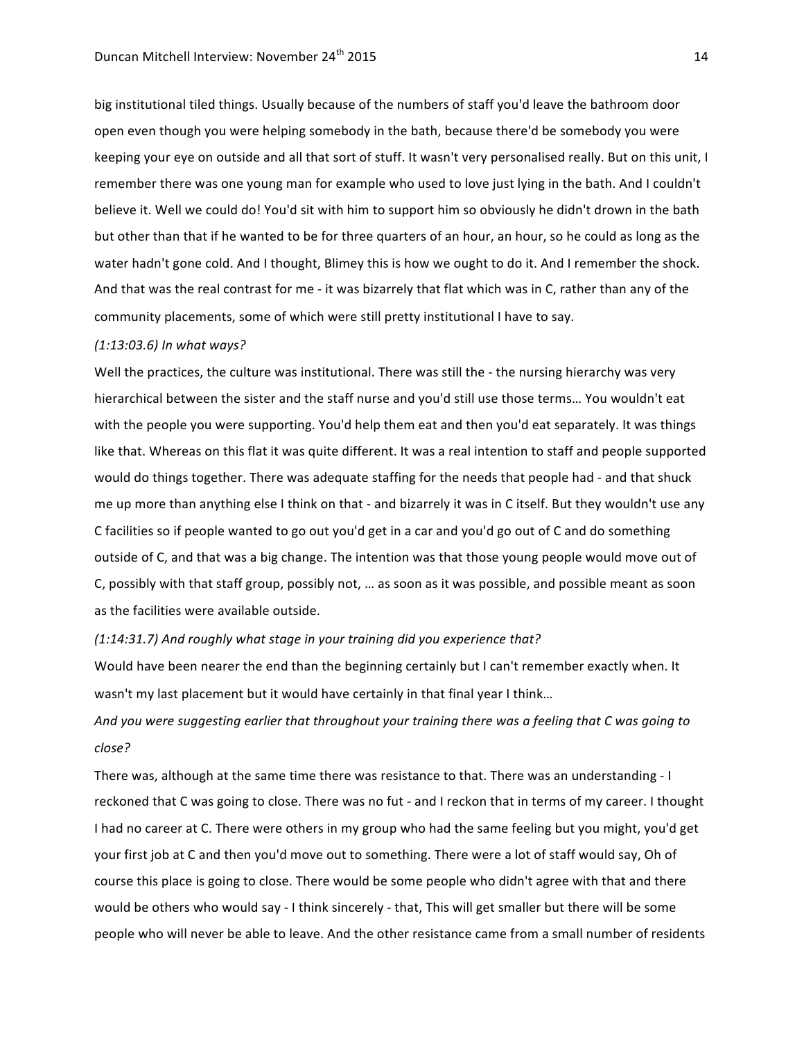big institutional tiled things. Usually because of the numbers of staff you'd leave the bathroom door open even though you were helping somebody in the bath, because there'd be somebody you were keeping your eye on outside and all that sort of stuff. It wasn't very personalised really. But on this unit, I remember there was one young man for example who used to love just lying in the bath. And I couldn't believe it. Well we could do! You'd sit with him to support him so obviously he didn't drown in the bath but other than that if he wanted to be for three quarters of an hour, an hour, so he could as long as the water hadn't gone cold. And I thought, Blimey this is how we ought to do it. And I remember the shock. And that was the real contrast for me - it was bizarrely that flat which was in C, rather than any of the community placements, some of which were still pretty institutional I have to say.

## *(1:13:03.6) In what ways?*

Well the practices, the culture was institutional. There was still the - the nursing hierarchy was very hierarchical between the sister and the staff nurse and you'd still use those terms... You wouldn't eat with the people you were supporting. You'd help them eat and then you'd eat separately. It was things like that. Whereas on this flat it was quite different. It was a real intention to staff and people supported would do things together. There was adequate staffing for the needs that people had - and that shuck me up more than anything else I think on that - and bizarrely it was in C itself. But they wouldn't use any C facilities so if people wanted to go out you'd get in a car and you'd go out of C and do something outside of C, and that was a big change. The intention was that those young people would move out of C, possibly with that staff group, possibly not, ... as soon as it was possible, and possible meant as soon as the facilities were available outside.

#### *(1:14:31.7) And roughly what stage in your training did you experience that?*

Would have been nearer the end than the beginning certainly but I can't remember exactly when. It wasn't my last placement but it would have certainly in that final year I think...

And you were suggesting earlier that throughout your training there was a feeling that C was going to *close?*

There was, although at the same time there was resistance to that. There was an understanding - I reckoned that C was going to close. There was no fut - and I reckon that in terms of my career. I thought I had no career at C. There were others in my group who had the same feeling but you might, you'd get your first job at C and then you'd move out to something. There were a lot of staff would say, Oh of course this place is going to close. There would be some people who didn't agree with that and there would be others who would say - I think sincerely - that, This will get smaller but there will be some people who will never be able to leave. And the other resistance came from a small number of residents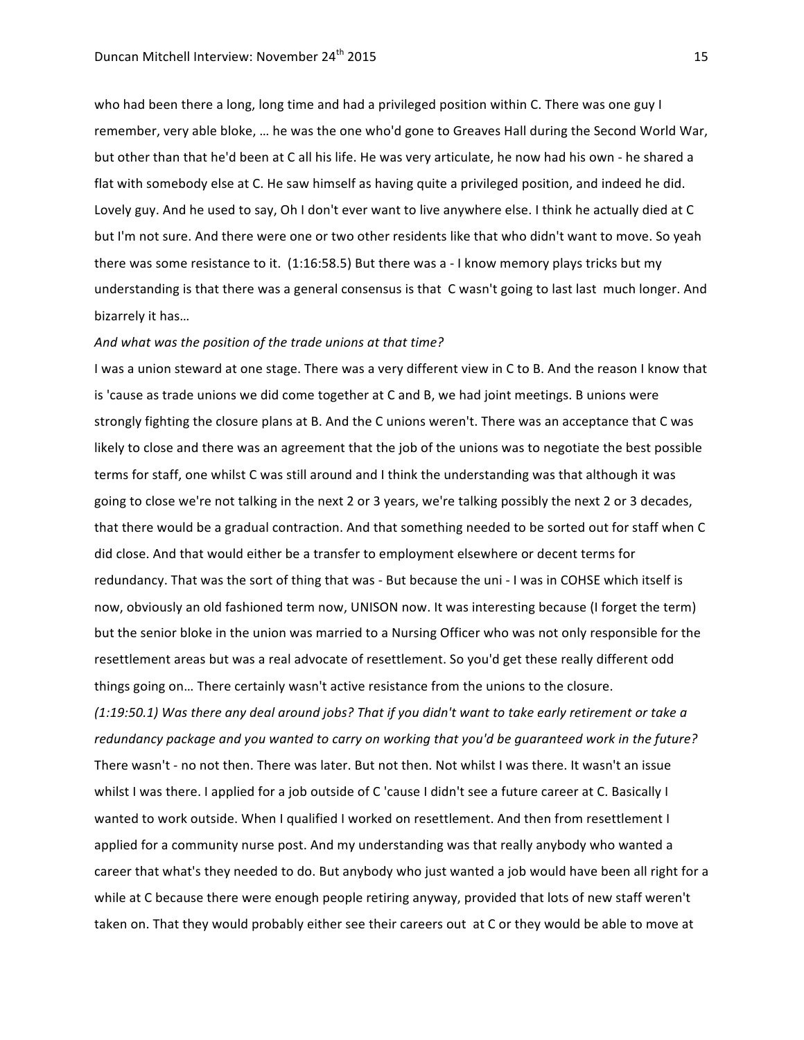who had been there a long, long time and had a privileged position within C. There was one guy I remember, very able bloke, ... he was the one who'd gone to Greaves Hall during the Second World War, but other than that he'd been at C all his life. He was very articulate, he now had his own - he shared a flat with somebody else at C. He saw himself as having quite a privileged position, and indeed he did. Lovely guy. And he used to say, Oh I don't ever want to live anywhere else. I think he actually died at C but I'm not sure. And there were one or two other residents like that who didn't want to move. So yeah there was some resistance to it.  $(1:16:58.5)$  But there was a - I know memory plays tricks but my understanding is that there was a general consensus is that C wasn't going to last last much longer. And bizarrely it has...

#### And what was the position of the trade unions at that time?

I was a union steward at one stage. There was a very different view in C to B. And the reason I know that is 'cause as trade unions we did come together at C and B, we had joint meetings. B unions were strongly fighting the closure plans at B. And the C unions weren't. There was an acceptance that C was likely to close and there was an agreement that the job of the unions was to negotiate the best possible terms for staff, one whilst C was still around and I think the understanding was that although it was going to close we're not talking in the next 2 or 3 years, we're talking possibly the next 2 or 3 decades, that there would be a gradual contraction. And that something needed to be sorted out for staff when C did close. And that would either be a transfer to employment elsewhere or decent terms for redundancy. That was the sort of thing that was - But because the uni - I was in COHSE which itself is now, obviously an old fashioned term now, UNISON now. It was interesting because (I forget the term) but the senior bloke in the union was married to a Nursing Officer who was not only responsible for the resettlement areas but was a real advocate of resettlement. So you'd get these really different odd things going on... There certainly wasn't active resistance from the unions to the closure. *(1:19:50.1)* Was there any deal around jobs? That if you didn't want to take early retirement or take a redundancy package and you wanted to carry on working that you'd be guaranteed work in the future? There wasn't - no not then. There was later. But not then. Not whilst I was there. It wasn't an issue whilst I was there. I applied for a job outside of C 'cause I didn't see a future career at C. Basically I wanted to work outside. When I qualified I worked on resettlement. And then from resettlement I

applied for a community nurse post. And my understanding was that really anybody who wanted a career that what's they needed to do. But anybody who just wanted a job would have been all right for a while at C because there were enough people retiring anyway, provided that lots of new staff weren't taken on. That they would probably either see their careers out at C or they would be able to move at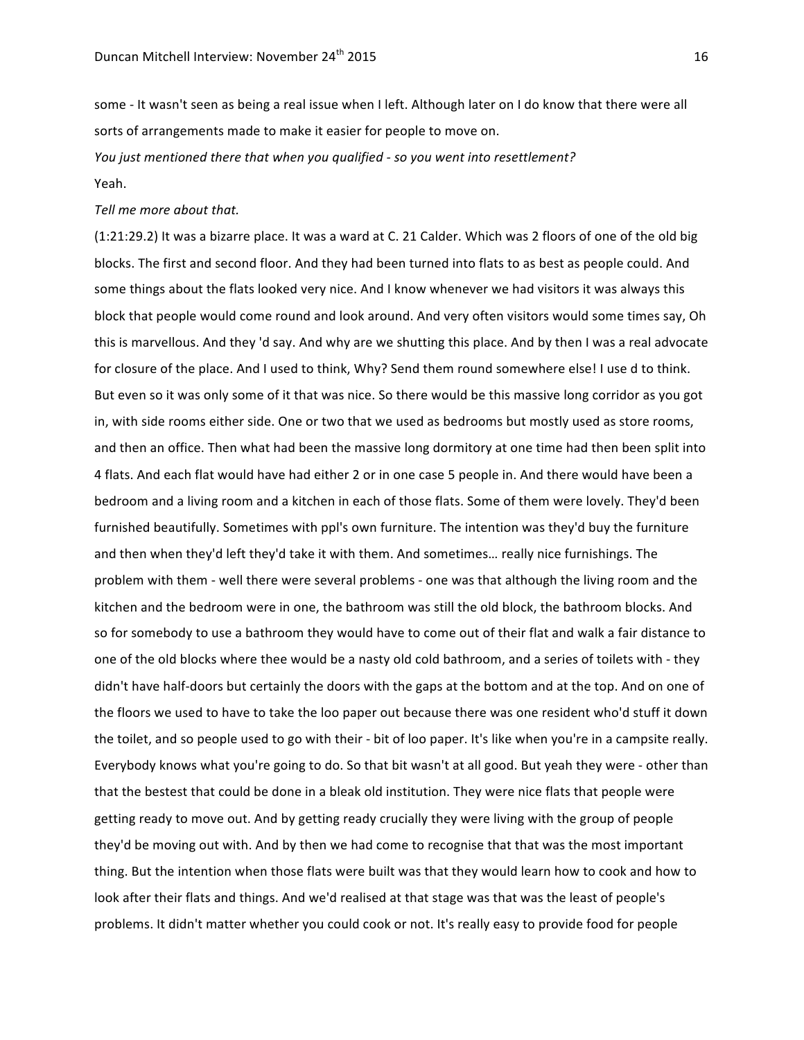some - It wasn't seen as being a real issue when I left. Although later on I do know that there were all sorts of arrangements made to make it easier for people to move on.

*You* just mentioned there that when you qualified - so you went into resettlement? Yeah.

## *Tell me more about that.*

(1:21:29.2) It was a bizarre place. It was a ward at C. 21 Calder. Which was 2 floors of one of the old big blocks. The first and second floor. And they had been turned into flats to as best as people could. And some things about the flats looked very nice. And I know whenever we had visitors it was always this block that people would come round and look around. And very often visitors would some times say, Oh this is marvellous. And they 'd say. And why are we shutting this place. And by then I was a real advocate for closure of the place. And I used to think, Why? Send them round somewhere else! I use d to think. But even so it was only some of it that was nice. So there would be this massive long corridor as you got in, with side rooms either side. One or two that we used as bedrooms but mostly used as store rooms, and then an office. Then what had been the massive long dormitory at one time had then been split into 4 flats. And each flat would have had either 2 or in one case 5 people in. And there would have been a bedroom and a living room and a kitchen in each of those flats. Some of them were lovely. They'd been furnished beautifully. Sometimes with ppl's own furniture. The intention was they'd buy the furniture and then when they'd left they'd take it with them. And sometimes... really nice furnishings. The problem with them - well there were several problems - one was that although the living room and the kitchen and the bedroom were in one, the bathroom was still the old block, the bathroom blocks. And so for somebody to use a bathroom they would have to come out of their flat and walk a fair distance to one of the old blocks where thee would be a nasty old cold bathroom, and a series of toilets with - they didn't have half-doors but certainly the doors with the gaps at the bottom and at the top. And on one of the floors we used to have to take the loo paper out because there was one resident who'd stuff it down the toilet, and so people used to go with their - bit of loo paper. It's like when you're in a campsite really. Everybody knows what you're going to do. So that bit wasn't at all good. But yeah they were - other than that the bestest that could be done in a bleak old institution. They were nice flats that people were getting ready to move out. And by getting ready crucially they were living with the group of people they'd be moving out with. And by then we had come to recognise that that was the most important thing. But the intention when those flats were built was that they would learn how to cook and how to look after their flats and things. And we'd realised at that stage was that was the least of people's problems. It didn't matter whether you could cook or not. It's really easy to provide food for people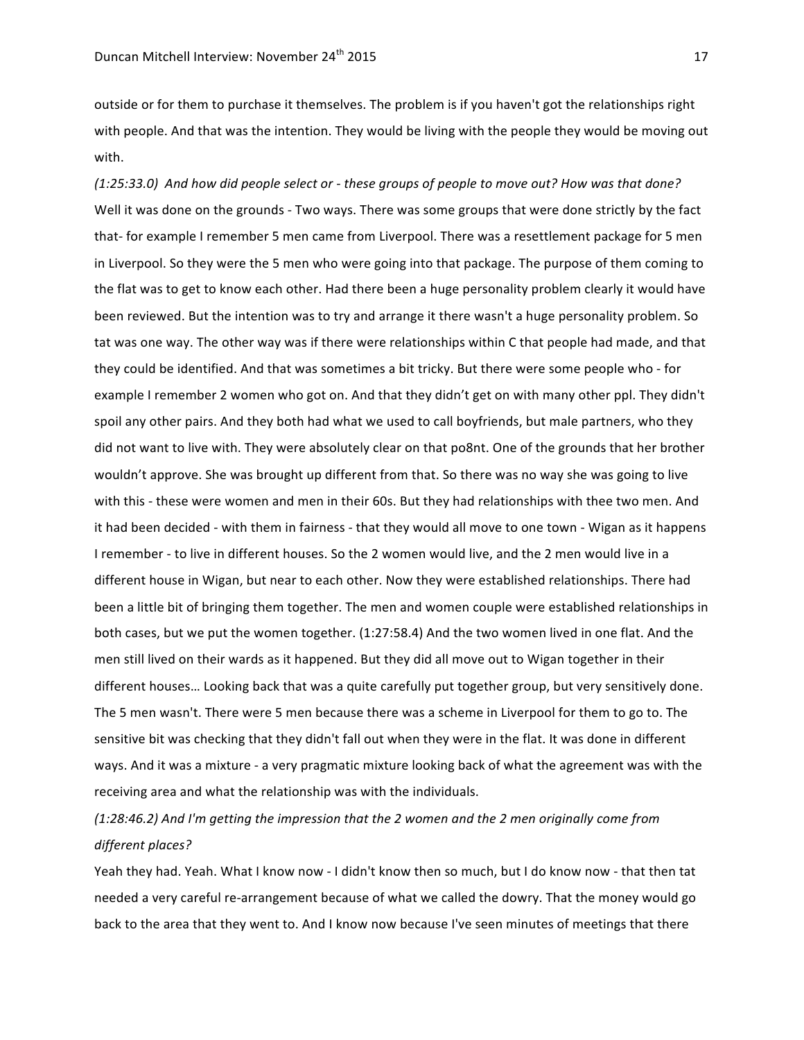outside or for them to purchase it themselves. The problem is if you haven't got the relationships right with people. And that was the intention. They would be living with the people they would be moving out with. 

*(1:25:33.0) And how did people select or - these groups of people to move out? How was that done?* Well it was done on the grounds - Two ways. There was some groups that were done strictly by the fact that- for example I remember 5 men came from Liverpool. There was a resettlement package for 5 men in Liverpool. So they were the 5 men who were going into that package. The purpose of them coming to the flat was to get to know each other. Had there been a huge personality problem clearly it would have been reviewed. But the intention was to try and arrange it there wasn't a huge personality problem. So tat was one way. The other way was if there were relationships within C that people had made, and that they could be identified. And that was sometimes a bit tricky. But there were some people who - for example I remember 2 women who got on. And that they didn't get on with many other ppl. They didn't spoil any other pairs. And they both had what we used to call boyfriends, but male partners, who they did not want to live with. They were absolutely clear on that po8nt. One of the grounds that her brother wouldn't approve. She was brought up different from that. So there was no way she was going to live with this - these were women and men in their 60s. But they had relationships with thee two men. And it had been decided - with them in fairness - that they would all move to one town - Wigan as it happens I remember - to live in different houses. So the 2 women would live, and the 2 men would live in a different house in Wigan, but near to each other. Now they were established relationships. There had been a little bit of bringing them together. The men and women couple were established relationships in both cases, but we put the women together. (1:27:58.4) And the two women lived in one flat. And the men still lived on their wards as it happened. But they did all move out to Wigan together in their different houses... Looking back that was a quite carefully put together group, but very sensitively done. The 5 men wasn't. There were 5 men because there was a scheme in Liverpool for them to go to. The sensitive bit was checking that they didn't fall out when they were in the flat. It was done in different ways. And it was a mixture - a very pragmatic mixture looking back of what the agreement was with the receiving area and what the relationship was with the individuals.

## *(1:28:46.2) And I'm getting the impression that the 2 women and the 2 men originally come from different places?*

Yeah they had. Yeah. What I know now - I didn't know then so much, but I do know now - that then tat needed a very careful re-arrangement because of what we called the dowry. That the money would go back to the area that they went to. And I know now because I've seen minutes of meetings that there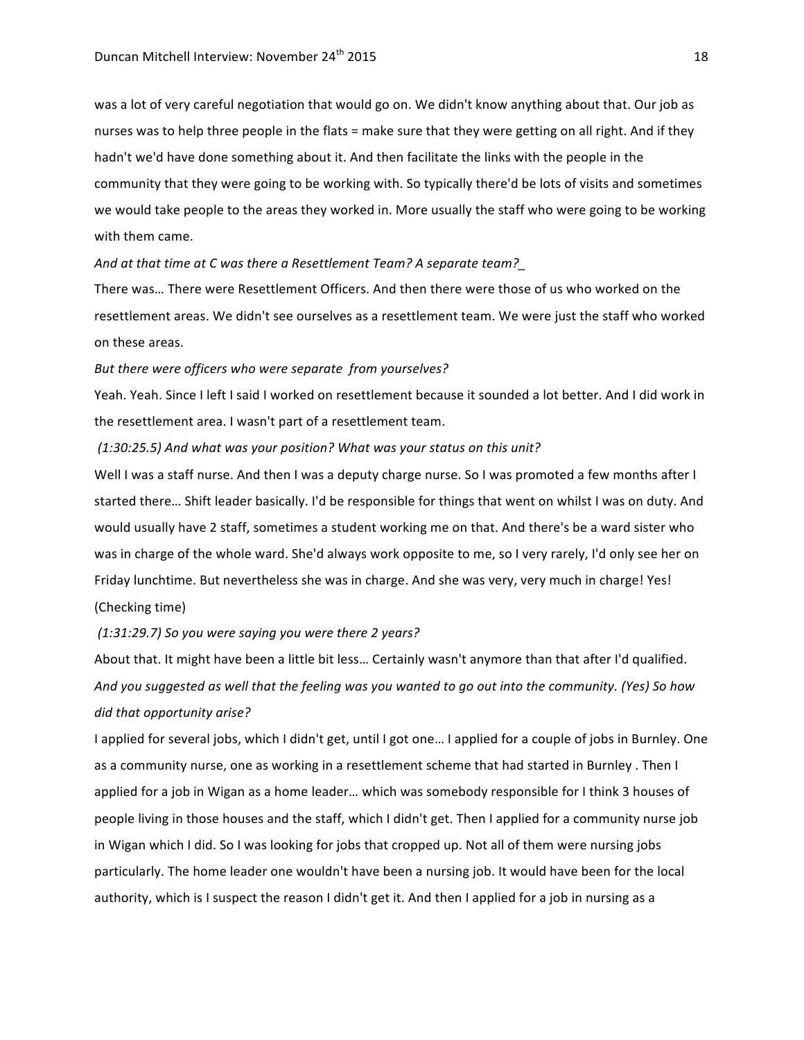was a lot of very careful negotiation that would go on. We didn't know anything about that. Our job as nurses was to help three people in the flats = make sure that they were getting on all right. And if they hadn't we'd have done something about it. And then facilitate the links with the people in the community that they were going to be working with. So typically there'd be lots of visits and sometimes we would take people to the areas they worked in. More usually the staff who were going to be working with them came.

And at that time at C was there a Resettlement Team? A separate team?

There was... There were Resettlement Officers. And then there were those of us who worked on the resettlement areas. We didn't see ourselves as a resettlement team. We were just the staff who worked on these areas.

## But there were officers who were separate from yourselves?

Yeah. Yeah. Since I left I said I worked on resettlement because it sounded a lot better. And I did work in the resettlement area. I wasn't part of a resettlement team.

## *(1:30:25.5) And what was your position? What was your status on this unit?*

Well I was a staff nurse. And then I was a deputy charge nurse. So I was promoted a few months after I started there... Shift leader basically. I'd be responsible for things that went on whilst I was on duty. And would usually have 2 staff, sometimes a student working me on that. And there's be a ward sister who was in charge of the whole ward. She'd always work opposite to me, so I very rarely, I'd only see her on Friday lunchtime. But nevertheless she was in charge. And she was very, very much in charge! Yes! (Checking time)

### *(1:31:29.7) So you were saying you were there 2 years?*

About that. It might have been a little bit less... Certainly wasn't anymore than that after I'd qualified. And you suggested as well that the feeling was you wanted to go out into the community. (Yes) So how *did that opportunity arise?*

I applied for several jobs, which I didn't get, until I got one... I applied for a couple of jobs in Burnley. One as a community nurse, one as working in a resettlement scheme that had started in Burnley. Then I applied for a job in Wigan as a home leader... which was somebody responsible for I think 3 houses of people living in those houses and the staff, which I didn't get. Then I applied for a community nurse job in Wigan which I did. So I was looking for jobs that cropped up. Not all of them were nursing jobs particularly. The home leader one wouldn't have been a nursing job. It would have been for the local authority, which is I suspect the reason I didn't get it. And then I applied for a job in nursing as a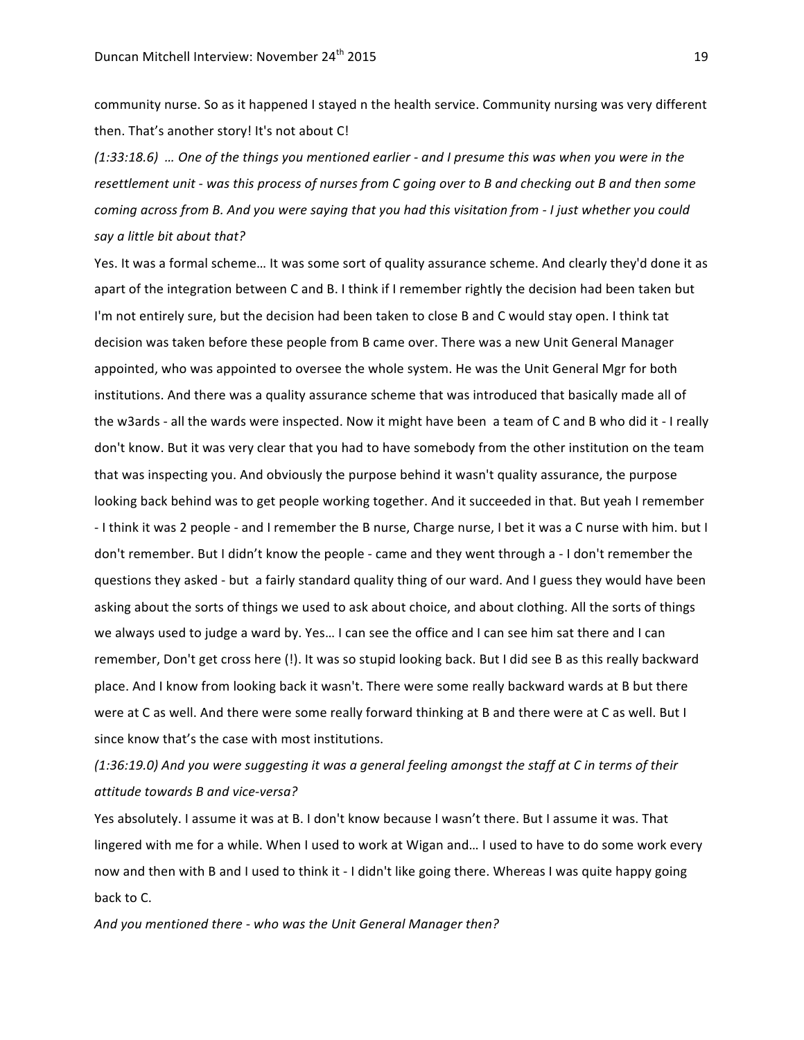community nurse. So as it happened I stayed n the health service. Community nursing was very different then. That's another story! It's not about C!

*(1:33:18.6) … One of the things you mentioned earlier - and I presume this was when you were in the*  resettlement unit - was this process of nurses from C going over to B and checking out B and then some *coming across from B. And you were saying that you had this visitation from - I just whether you could* say a little bit about that?

Yes. It was a formal scheme... It was some sort of quality assurance scheme. And clearly they'd done it as apart of the integration between C and B. I think if I remember rightly the decision had been taken but I'm not entirely sure, but the decision had been taken to close B and C would stay open. I think tat decision was taken before these people from B came over. There was a new Unit General Manager appointed, who was appointed to oversee the whole system. He was the Unit General Mgr for both institutions. And there was a quality assurance scheme that was introduced that basically made all of the w3ards - all the wards were inspected. Now it might have been a team of C and B who did it - I really don't know. But it was very clear that you had to have somebody from the other institution on the team that was inspecting you. And obviously the purpose behind it wasn't quality assurance, the purpose looking back behind was to get people working together. And it succeeded in that. But yeah I remember - I think it was 2 people - and I remember the B nurse, Charge nurse, I bet it was a C nurse with him. but I don't remember. But I didn't know the people - came and they went through a - I don't remember the questions they asked - but a fairly standard quality thing of our ward. And I guess they would have been asking about the sorts of things we used to ask about choice, and about clothing. All the sorts of things we always used to judge a ward by. Yes... I can see the office and I can see him sat there and I can remember, Don't get cross here (!). It was so stupid looking back. But I did see B as this really backward place. And I know from looking back it wasn't. There were some really backward wards at B but there were at C as well. And there were some really forward thinking at B and there were at C as well. But I since know that's the case with most institutions.

(1:36:19.0) And you were suggesting it was a general feeling amongst the staff at C in terms of their *attitude towards B and vice-versa?*

Yes absolutely. I assume it was at B. I don't know because I wasn't there. But I assume it was. That lingered with me for a while. When I used to work at Wigan and... I used to have to do some work every now and then with B and I used to think it - I didn't like going there. Whereas I was quite happy going back to C.

And you mentioned there - who was the Unit General Manager then?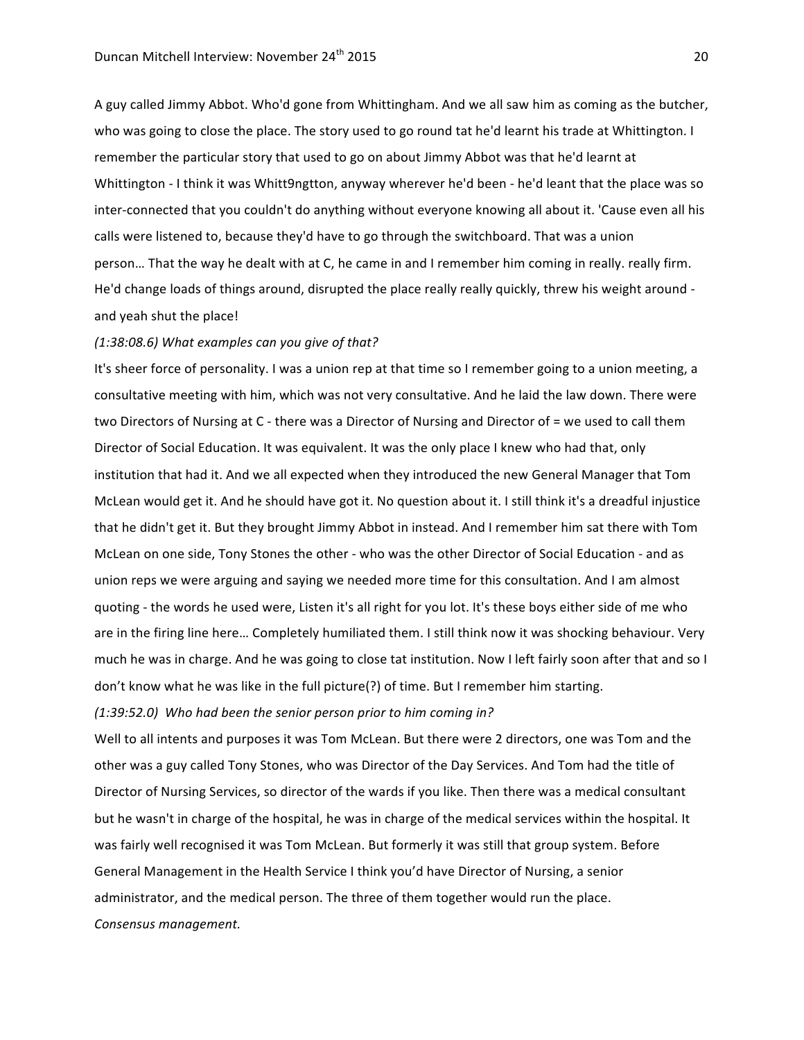A guy called Jimmy Abbot. Who'd gone from Whittingham. And we all saw him as coming as the butcher, who was going to close the place. The story used to go round tat he'd learnt his trade at Whittington. I remember the particular story that used to go on about Jimmy Abbot was that he'd learnt at Whittington - I think it was Whitt9ngtton, anyway wherever he'd been - he'd leant that the place was so inter-connected that you couldn't do anything without everyone knowing all about it. 'Cause even all his calls were listened to, because they'd have to go through the switchboard. That was a union person... That the way he dealt with at C, he came in and I remember him coming in really. really firm. He'd change loads of things around, disrupted the place really really quickly, threw his weight around and yeah shut the place!

#### *(1:38:08.6) What examples can you give of that?*

It's sheer force of personality. I was a union rep at that time so I remember going to a union meeting, a consultative meeting with him, which was not very consultative. And he laid the law down. There were two Directors of Nursing at C - there was a Director of Nursing and Director of = we used to call them Director of Social Education. It was equivalent. It was the only place I knew who had that, only institution that had it. And we all expected when they introduced the new General Manager that Tom McLean would get it. And he should have got it. No question about it. I still think it's a dreadful injustice that he didn't get it. But they brought Jimmy Abbot in instead. And I remember him sat there with Tom McLean on one side, Tony Stones the other - who was the other Director of Social Education - and as union reps we were arguing and saying we needed more time for this consultation. And I am almost quoting - the words he used were, Listen it's all right for you lot. It's these boys either side of me who are in the firing line here... Completely humiliated them. I still think now it was shocking behaviour. Very much he was in charge. And he was going to close tat institution. Now I left fairly soon after that and so I don't know what he was like in the full picture(?) of time. But I remember him starting.

*(1:39:52.0) Who had been the senior person prior to him coming in?*

Well to all intents and purposes it was Tom McLean. But there were 2 directors, one was Tom and the other was a guy called Tony Stones, who was Director of the Day Services. And Tom had the title of Director of Nursing Services, so director of the wards if you like. Then there was a medical consultant but he wasn't in charge of the hospital, he was in charge of the medical services within the hospital. It was fairly well recognised it was Tom McLean. But formerly it was still that group system. Before General Management in the Health Service I think you'd have Director of Nursing, a senior administrator, and the medical person. The three of them together would run the place. *Consensus management.*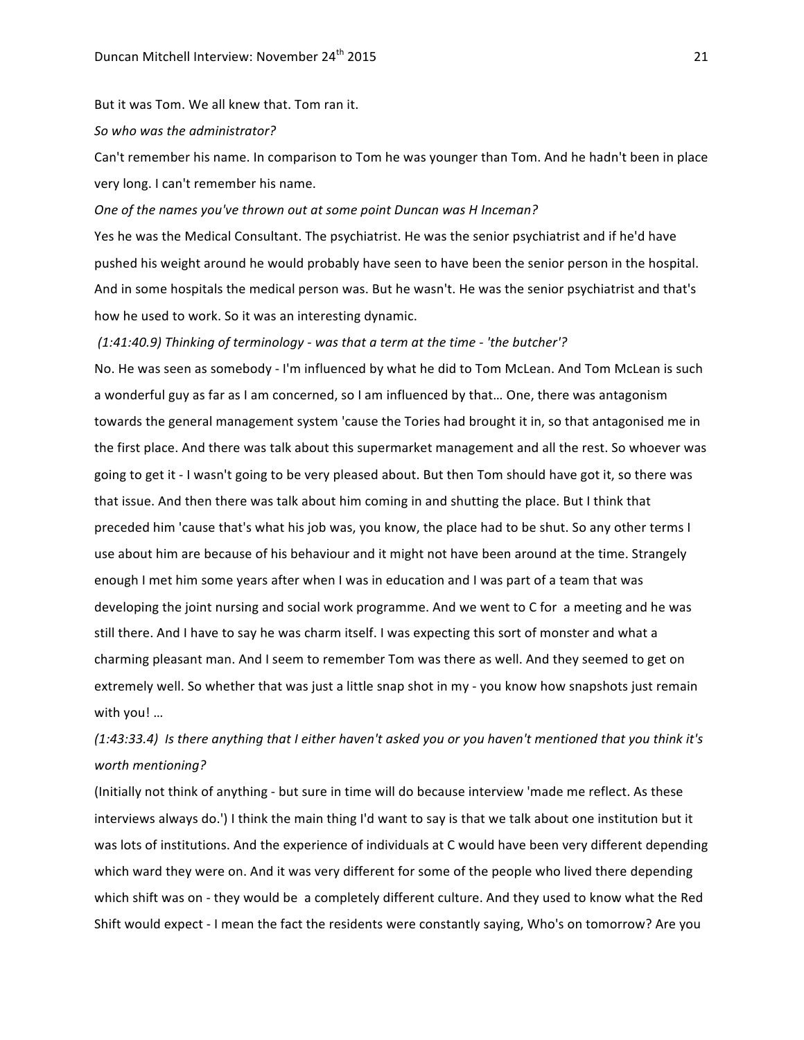But it was Tom. We all knew that. Tom ran it.

*So who was the administrator?* 

Can't remember his name. In comparison to Tom he was younger than Tom. And he hadn't been in place very long. I can't remember his name.

## One of the names you've thrown out at some point Duncan was *H* Inceman?

Yes he was the Medical Consultant. The psychiatrist. He was the senior psychiatrist and if he'd have pushed his weight around he would probably have seen to have been the senior person in the hospital. And in some hospitals the medical person was. But he wasn't. He was the senior psychiatrist and that's how he used to work. So it was an interesting dynamic.

#### *(1:41:40.9) Thinking of terminology - was that a term at the time - 'the butcher'?*

No. He was seen as somebody - I'm influenced by what he did to Tom McLean. And Tom McLean is such a wonderful guy as far as I am concerned, so I am influenced by that... One, there was antagonism towards the general management system 'cause the Tories had brought it in, so that antagonised me in the first place. And there was talk about this supermarket management and all the rest. So whoever was going to get it - I wasn't going to be very pleased about. But then Tom should have got it, so there was that issue. And then there was talk about him coming in and shutting the place. But I think that preceded him 'cause that's what his job was, you know, the place had to be shut. So any other terms I use about him are because of his behaviour and it might not have been around at the time. Strangely enough I met him some years after when I was in education and I was part of a team that was developing the joint nursing and social work programme. And we went to C for a meeting and he was still there. And I have to say he was charm itself. I was expecting this sort of monster and what a charming pleasant man. And I seem to remember Tom was there as well. And they seemed to get on extremely well. So whether that was just a little snap shot in my - you know how snapshots just remain with you! ...

## *(1:43:33.4) Is there anything that I either haven't asked you or you haven't mentioned that you think it's worth mentioning?*

(Initially not think of anything - but sure in time will do because interview 'made me reflect. As these interviews always do.') I think the main thing I'd want to say is that we talk about one institution but it was lots of institutions. And the experience of individuals at C would have been very different depending which ward they were on. And it was very different for some of the people who lived there depending which shift was on - they would be a completely different culture. And they used to know what the Red Shift would expect - I mean the fact the residents were constantly saying, Who's on tomorrow? Are you